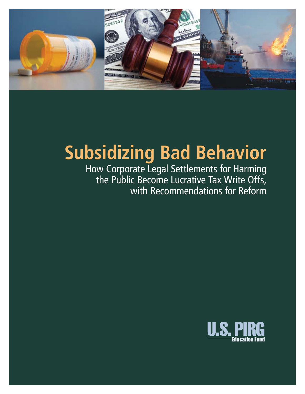

## **Subsidizing Bad Behavior**

How Corporate Legal Settlements for Harming the Public Become Lucrative Tax Write Offs, with Recommendations for Reform

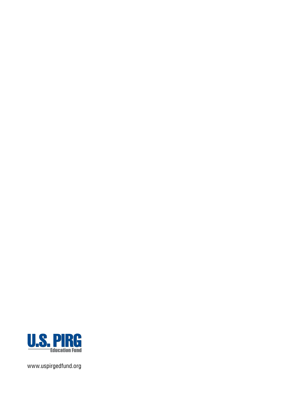

www.uspirgedfund.org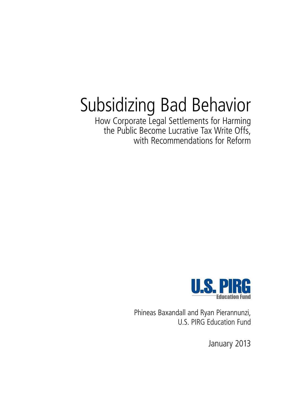# Subsidizing Bad Behavior

How Corporate Legal Settlements for Harming the Public Become Lucrative Tax Write Offs, with Recommendations for Reform



Phineas Baxandall and Ryan Pierannunzi, U.S. PIRG Education Fund

January 2013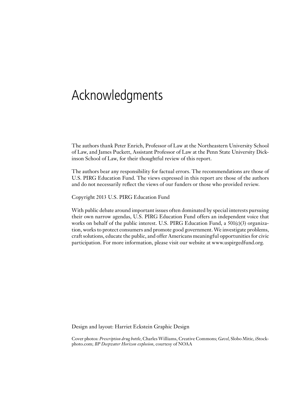## Acknowledgments

The authors thank Peter Enrich, Professor of Law at the Northeastern University School of Law, and James Puckett, Assistant Professor of Law at the Penn State University Dickinson School of Law, for their thoughtful review of this report.

The authors bear any responsibility for factual errors. The recommendations are those of U.S. PIRG Education Fund. The views expressed in this report are those of the authors and do not necessarily reflect the views of our funders or those who provided review.

Copyright 2013 U.S. PIRG Education Fund

With public debate around important issues often dominated by special interests pursuing their own narrow agendas, U.S. PIRG Education Fund offers an independent voice that works on behalf of the public interest. U.S. PIRG Education Fund, a  $501(c)(3)$  organization, works to protect consumers and promote good government. We investigate problems, craft solutions, educate the public, and offer Americans meaningful opportunities for civic participation. For more information, please visit our website at www.uspirgedfund.org.

Design and layout: Harriet Eckstein Graphic Design

Cover photos: *Prescription drug bottle*, Charles Williams, Creative Commons; *Gavel*, Slobo Mitic, iStockphoto.com; *BP Deepwater Horizon explosion*, courtesy of NOAA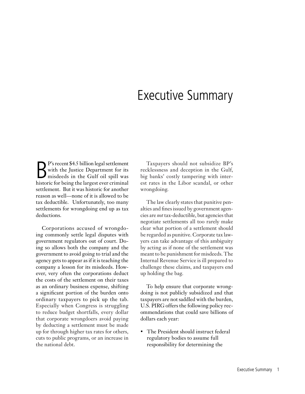### Executive Summary

P's recent \$4.5 billion legal settlement<br>
with the Justice Department for its<br>
misdeeds in the Gulf oil spill was<br>
historic for being the largest ever criminal with the Justice Department for its misdeeds in the Gulf oil spill was historic for being the largest ever criminal settlement. But it was historic for another reason as well—none of it is allowed to be tax deductible. Unfortunately, too many settlements for wrongdoing end up as tax deductions.

Corporations accused of wrongdoing commonly settle legal disputes with government regulators out of court. Doing so allows both the company and the government to avoid going to trial and the agency gets to appear as if it is teaching the company a lesson for its misdeeds. However, very often the corporations deduct the costs of the settlement on their taxes as an ordinary business expense, shifting a significant portion of the burden onto ordinary taxpayers to pick up the tab. Especially when Congress is struggling to reduce budget shortfalls, every dollar that corporate wrongdoers avoid paying by deducting a settlement must be made up for through higher tax rates for others, cuts to public programs, or an increase in the national debt.

Taxpayers should not subsidize BP's recklessness and deception in the Gulf, big banks' costly tampering with interest rates in the Libor scandal, or other wrongdoing.

The law clearly states that punitive penalties and fines issued by government agencies are *not* tax-deductible, but agencies that negotiate settlements all too rarely make clear what portion of a settlement should be regarded as punitive. Corporate tax lawyers can take advantage of this ambiguity by acting as if none of the settlement was meant to be punishment for misdeeds. The Internal Revenue Service is ill prepared to challenge these claims, and taxpayers end up holding the bag.

To help ensure that corporate wrongdoing is not publicly subsidized and that taxpayers are not saddled with the burden, U.S. PIRG offers the following policy recommendations that could save billions of dollars each year:

• The President should instruct federal regulatory bodies to assume full responsibility for determining the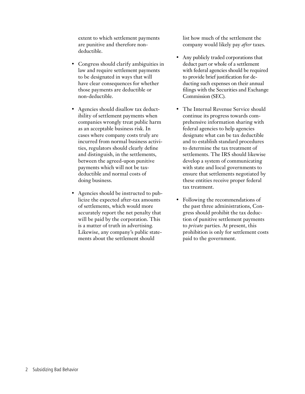extent to which settlement payments are punitive and therefore nondeductible.

- Congress should clarify ambiguities in law and require settlement payments to be designated in ways that will have clear consequences for whether those payments are deductible or non-deductible.
- Agencies should disallow tax deductibility of settlement payments when companies wrongly treat public harm as an acceptable business risk. In cases where company costs truly are incurred from normal business activities, regulators should clearly define and distinguish, in the settlements, between the agreed-upon punitive payments which will not be taxdeductible and normal costs of doing business.
- Agencies should be instructed to publicize the expected after-tax amounts of settlements, which would more accurately report the net penalty that will be paid by the corporation. This is a matter of truth in advertising. Likewise, any company's public statements about the settlement should

list how much of the settlement the company would likely pay *after* taxes.

- Any publicly traded corporations that deduct part or whole of a settlement with federal agencies should be required to provide brief justification for deducting such expenses on their annual filings with the Securities and Exchange Commission (SEC).
- The Internal Revenue Service should continue its progress towards comprehensive information sharing with federal agencies to help agencies designate what can be tax deductible and to establish standard procedures to determine the tax treatment of settlements. The IRS should likewise develop a system of communicating with state and local governments to ensure that settlements negotiated by these entities receive proper federal tax treatment.
- • Following the recommendations of the past three administrations, Congress should prohibit the tax deduction of punitive settlement payments to *private* parties. At present, this prohibition is only for settlement costs paid to the government.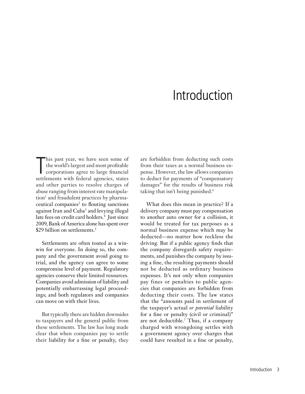## Introduction

This past year, we have seen some of<br>the world's largest and most profitable<br>corporations agree to large financial<br>settlements with federal agencies, states his past year, we have seen some of the world's largest and most profitable corporations agree to large financial and other parties to resolve charges of abuse ranging from interest rate manipulation<sup>1</sup> and fraudulent practices by pharmaceutical companies<sup>2</sup> to flouting sanctions against Iran and Cuba<sup>3</sup> and levying illegal late fees on credit card holders.<sup>4</sup> Just since 2009, Bank of America alone has spent over \$29 billion on settlements.<sup>5</sup>

Settlements are often touted as a winwin for everyone. In doing so, the company and the government avoid going to trial, and the agency can agree to some compromise level of payment. Regulatory agencies conserve their limited resources. Companies avoid admission of liability and potentially embarrassing legal proceedings; and both regulators and companies can move on with their lives.

But typically there are hidden downsides to taxpayers and the general public from these settlements. The law has long made clear that when companies pay to settle their liability for a fine or penalty, they are forbidden from deducting such costs from their taxes as a normal business expense. However, the law allows companies to deduct for payments of "compensatory damages" for the results of business risk taking that isn't being punished.<sup>6</sup>

What does this mean in practice? If a delivery company must pay compensation to another auto owner for a collision, it would be treated for tax purposes as a normal business expense which may be deducted—no matter how reckless the driving. But if a public agency finds that the company disregards safety requirements, and punishes the company by issuing a fine, the resulting payments should not be deducted as ordinary business expenses. It's not only when companies pay fines or penalties to public agencies that companies are forbidden from deducting their costs. The law states that the "amounts paid in settlement of the taxpayer's actual *or potential* liability for a fine or penalty (civil or criminal)" are not deductible.7 Thus, if a company charged with wrongdoing settles with a government agency over charges that could have resulted in a fine or penalty,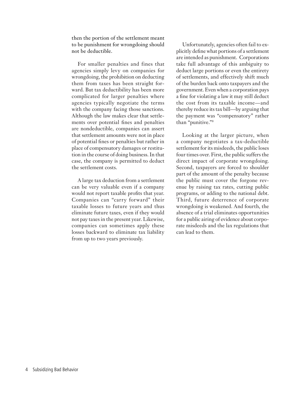then the portion of the settlement meant to be punishment for wrongdoing should not be deductible.

For smaller penalties and fines that agencies simply levy on companies for wrongdoing, the prohibition on deducting them from taxes has been straight forward. But tax deductibility has been more complicated for larger penalties where agencies typically negotiate the terms with the company facing those sanctions. Although the law makes clear that settlements over potential fines and penalties are nondeductible, companies can assert that settlement amounts were not in place of potential fines or penalties but rather in place of compensatory damages or restitution in the course of doing business. In that case, the company is permitted to deduct the settlement costs.

A large tax deduction from a settlement can be very valuable even if a company would not report taxable profits that year. Companies can "carry forward" their taxable losses to future years and thus eliminate future taxes, even if they would not pay taxes in the present year. Likewise, companies can sometimes apply these losses backward to eliminate tax liability from up to two years previously.

Unfortunately, agencies often fail to explicitly define what portions of a settlement are intended as punishment. Corporations take full advantage of this ambiguity to deduct large portions or even the entirety of settlements, and effectively shift much of the burden back onto taxpayers and the government. Even when a corporation pays a fine for violating a law it may still deduct the cost from its taxable income—and thereby reduce its tax bill—by arguing that the payment was "compensatory" rather than "punitive."8

Looking at the larger picture, when a company negotiates a tax-deductible settlement for its misdeeds, the public loses four times over. First, the public suffers the direct impact of corporate wrongdoing. Second, taxpayers are forced to shoulder part of the amount of the penalty because the public must cover the forgone revenue by raising tax rates, cutting public programs, or adding to the national debt. Third, future deterrence of corporate wrongdoing is weakened. And fourth, the absence of a trial eliminates opportunities for a public airing of evidence about corporate misdeeds and the lax regulations that can lead to them.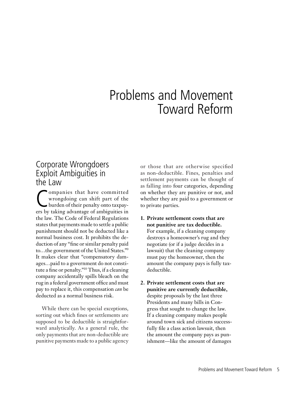### Problems and Movement Toward Reform

#### Corporate Wrongdoers Exploit Ambiguities in the Law

Companies that have committed<br>wrongdoing can shift part of the<br>burden of their penalty onto taxpay-<br>ers by taking advantage of ambiguities in ompanies that have committed wrongdoing can shift part of the burden of their penalty onto taxpaythe law. The Code of Federal Regulations states that payments made to settle a public punishment should not be deducted like a normal business cost. It prohibits the deduction of any "fine or similar penalty paid to…the government of the United States."9 It makes clear that "compensatory damages…paid to a government do not constitute a fine or penalty."10 Thus, if a cleaning company accidentally spills bleach on the rug in a federal government office and must pay to replace it, this compensation *can* be deducted as a normal business risk.

While there can be special exceptions, sorting out which fines or settlements are supposed to be deductible is straightforward analytically. As a general rule, the only payments that are non-deductible are punitive payments made to a public agency or those that are otherwise specified as non-deductible. Fines, penalties and settlement payments can be thought of as falling into four categories, depending on whether they are punitive or not, and whether they are paid to a government or to private parties.

- **1. Private settlement costs that are not punitive are tax deductible.** For example, if a cleaning company destroys a homeowner's rug and they negotiate (or if a judge decides in a lawsuit) that the cleaning company must pay the homeowner, then the amount the company pays is fully taxdeductible.
- **2. Private settlement costs that are punitive are currently deductible,** despite proposals by the last three Presidents and many bills in Congress that sought to change the law. If a cleaning company makes people around town sick and citizens successfully file a class action lawsuit, then the amount the company pays as punishment—like the amount of damages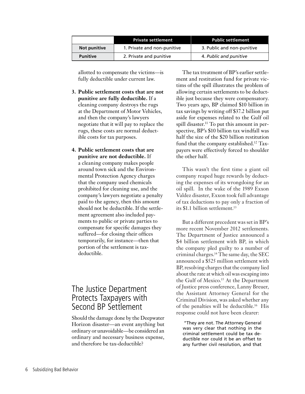|                 | <b>Private settlement</b>   | <b>Public settlement</b>   |
|-----------------|-----------------------------|----------------------------|
| Not punitive    | 1. Private and non-punitive | 3. Public and non-punitive |
| <b>Punitive</b> | 2. Private and punitive     | 4. Public and punitive     |

allotted to compensate the victims—is fully deductible under current law.

- **3. Public settlement costs that are not punitive are fully deductible.** If a cleaning company destroys the rugs at the Department of Motor Vehicles, and then the company's lawyers negotiate that it will pay to replace the rugs, these costs are normal deductible costs for tax purposes.
- **4. Public settlement costs that are punitive are not deductible.** If a cleaning company makes people around town sick and the Environmental Protection Agency charges that the company used chemicals prohibited for cleaning use, and the company's lawyers negotiate a penalty paid to the agency, then this amount should not be deductible. If the settlement agreement also included payments to public or private parties to compensate for specific damages they suffered—for closing their offices temporarily, for instance—then that portion of the settlement is taxdeductible.

#### The Justice Department Protects Taxpayers with Second BP Settlement

Should the damage done by the Deepwater Horizon disaster—an event anything but ordinary or unavoidable—be considered an ordinary and necessary business expense, and therefore be tax-deductible?

The tax treatment of BP's earlier settlement and restitution fund for private victims of the spill illustrates the problem of allowing certain settlements to be deductible just because they were compensatory. Two years ago, BP claimed \$10 billion in tax savings by writing off \$37.2 billion put aside for expenses related to the Gulf oil spill disaster.<sup>11</sup> To put this amount in perspective, BP's \$10 billion tax windfall was half the size of the \$20 billion restitution fund that the company established.12 Taxpayers were effectively forced to shoulder the other half.

This wasn't the first time a giant oil company reaped huge rewards by deducting the expenses of its wrongdoing for an oil spill. In the wake of the 1989 Exxon Valdez disaster, Exxon took full advantage of tax deductions to pay only a fraction of its \$1.1 billion settlement.<sup>13</sup>

But a different precedent was set in BP's more recent November 2012 settlements. The Department of Justice announced a \$4 billion settlement with BP, in which the company pled guilty to a number of criminal charges.14 The same day, the SEC announced a \$525 million settlement with BP, resolving charges that the company lied about the rate at which oil was escaping into the Gulf of Mexico.<sup>15</sup> At the Department of Justice press conference, Lanny Breuer, the Assistant Attorney General for the Criminal Division, was asked whether any of the penalties will be deductible.16 His response could not have been clearer:

 "They are not. The Attorney General was very clear that nothing in the criminal settlement could be tax deductible nor could it be an offset to any further civil resolution, and that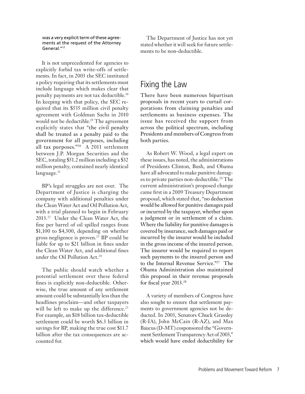was a very explicit term of these agreements at the request of the Attorney General."17

It is not unprecedented for agencies to explicitly forbid tax write-offs of settlements. In fact, in 2003 the SEC instituted a policy requiring that its settlements must include language which makes clear that penalty payments are not tax deductible.18 In keeping with that policy, the SEC required that its \$535 million civil penalty agreement with Goldman Sachs in 2010 would not be deductible.<sup>19</sup> The agreement explicitly states that "the civil penalty shall be treated as a penalty paid to the government for all purposes, including all tax purposes."20 A 2011 settlement between J.P. Morgan Securities and the SEC, totaling \$51.2 million including a \$32 million penalty, contained nearly identical language.<sup>21</sup>

BP's legal struggles are not over. The Department of Justice is charging the company with additional penalties under the Clean Water Act and Oil Pollution Act, with a trial planned to begin in February 2013.22 Under the Clean Water Act, the fine per barrel of oil spilled ranges from \$1,100 to \$4,300, depending on whether gross negligence is proven.23 BP could be liable for up to \$21 billion in fines under the Clean Water Act, and additional fines under the Oil Pollution Act.<sup>24</sup>

The public should watch whether a potential settlement over these federal fines is explicitly non-deductible. Otherwise, the true amount of any settlement amount could be substantially less than the headlines proclaim—and other taxpayers will be left to make up the difference.<sup>25</sup> For example, an \$18 billion tax-deductible settlement could be worth \$6.3 billion in savings for BP, making the true cost \$11.7 billion after the tax consequences are accounted for.

The Department of Justice has not yet stated whether it will seek for future settlements to be non-deductible.

### Fixing the Law

There have been numerous bipartisan proposals in recent years to curtail corporations from claiming penalties and settlements as business expenses. The issue has received the support from across the political spectrum, including Presidents and members of Congress from both parties.

As Robert W. Wood, a legal expert on these issues, has noted, the administrations of Presidents Clinton, Bush, and Obama have all advocated to make punitive damages to private parties non-deductible.<sup>26</sup> The current administration's proposed change came first in a 2009 Treasury Department proposal, which stated that, "no deduction would be allowed for punitive damages paid or incurred by the taxpayer, whether upon a judgment or in settlement of a claim. Where the liability for punitive damages is covered by insurance, such damages paid or incurred by the insurer would be included in the gross income of the insured person. The insurer would be required to report such payments to the insured person and to the Internal Revenue Service."27 The Obama Administration also maintained this proposal in their revenue proposals for fiscal year 2013.28

A variety of members of Congress have also sought to ensure that settlement payments to government agencies not be deducted. In 2003, Senators Chuck Grassley (R-IA), John McCain (R-AZ), and Max Baucus (D-MT) cosponsored the "Government Settlement Transparency Act of 2003," which would have ended deductibility for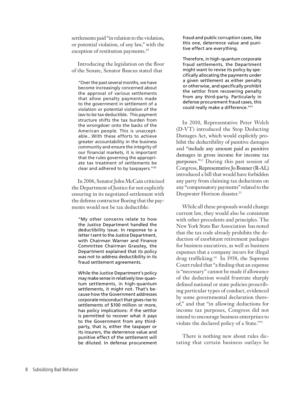settlements paid "in relation to the violation, or potential violation, of any law," with the exception of restitution payments.<sup>29</sup>

Introducing the legislation on the floor of the Senate, Senator Baucus stated that

"Over the past several months, we have become increasingly concerned about the approval of various settlements that allow penalty payments made to the government in settlement of a violation or potential violation of the law to be tax deductible. This payment structure shifts the tax burden from the wrongdoer onto the backs of the American people. This is unacceptable…With these efforts to achieve greater accountability in the business community and ensure the integrity of our financial markets, it is important that the rules governing the appropriate tax treatment of settlements be clear and adhered to by taxpayers."30

In 2006, Senator John McCain criticized the Department of Justice for not explicitly ensuring in its negotiated settlement with the defense contractor Boeing that the payments would not be tax deductible:

"My other concerns relate to how the Justice Department handled the deductibility issue. In response to a letter I sent to the Justice Department, with Chairman Warner and Finance Committee Chairman Grassley, the Department explained that its policy was not to address deductibility in its fraud settlement agreements.

While the Justice Department's policy may make sense in relatively low-quantum settlements, in high-quantum settlements, it might not. That's because how the Government addresses corporate misconduct that gives rise to settlements of \$100 million or more, has policy implications: if the settlor is permitted to recover what it pays to the Government from any thirdparty, that is, either the taxpayer or its insurers, the deterrence value and punitive effect of the settlement will be diluted. In defense procurement fraud and public corruption cases, like this one, deterrence value and punitive effect are everything.

Therefore, in high-quantum corporate fraud settlements, the Department might want to revise its policy by specifically allocating the payments under a given settlement as either penalty or otherwise, and specifically prohibit the settlor from recovering penalty from any third-party. Particularly in defense procurement fraud cases, this could really make a difference."31

In 2010, Representative Peter Welch (D-VT) introduced the Stop Deducting Damages Act, which would explicitly prohibit the deductibility of punitive damages and "include any amount paid as punitive damages in gross income for income tax purposes."32 During this past session of Congress, Representative Jo Bonner (R-AL) introduced a bill that would have forbidden any party from claiming tax deductions on any "compensatory payments" related to the Deepwater Horizon disaster.<sup>33</sup>

While all these proposals would change current law, they would also be consistent with other precedents and principles. The New York State Bar Association has noted that the tax code already prohibits the deduction of exorbitant retirement packages for business executives, as well as business expenses that a company incurs for illegal drug trafficking.34 In 1958, the Supreme Court ruled that "a finding that an expense is "necessary" cannot be made if allowance of the deduction would frustrate sharply defined national or state policies proscribing particular types of conduct, evidenced by some governmental declaration thereof," and that "in allowing deductions for income tax purposes, Congress did not intend to encourage business enterprises to violate the declared policy of a State."35

There is nothing new about rules dictating that certain business outlays be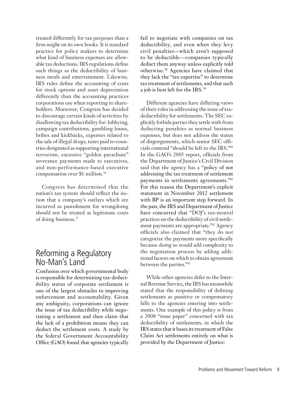treated differently for tax purposes than a firm might on its own books. It is standard practice for policy makers to determine what kind of business expenses are allowable tax deductions. IRS regulations define such things as the deductibility of business meals and entertainment. Likewise, IRS rules define the accounting of costs for stock options and asset depreciation differently than the accounting practices corporations use when reporting to shareholders. Moreover, Congress has decided to discourage certain kinds of activities by disallowing tax deductibility for: lobbying, campaign contributions, gambling losses, bribes and kickbacks, expenses related to the sale of illegal drugs, taxes paid to countries designated as supporting international terrorism, excessive "golden parachute" severance payments made to executives, and non-performance-based executive compensation over \$1 million.36

Congress has determined that the nation's tax system should reflect the notion that a company's outlays which are incurred as punishment for wrongdoing should not be treated as legitimate costs of doing business.37

### Reforming a Regulatory No-Man's Land

Confusion over which governmental body is responsible for determining tax-deductibility status of corporate settlement is one of the largest obstacles to improving enforcement and accountability. Given any ambiguity, corporations can ignore the issue of tax deductibility while negotiating a settlement and then claim that the lack of a prohibition means they can deduct the settlement costs. A study by the federal Government Accountability Office (GAO) found that agencies typically fail to negotiate with companies on tax deductibility, and even when they levy civil penalties—which aren't supposed to be deductible—companies typically deduct them anyway unless explicitly told otherwise.38 Agencies have claimed that they lack the "tax expertise" to determine tax treatment of settlements, and that such a job is best left for the IRS.39

Different agencies have differing views of their roles in addressing the issue of taxdeductibility for settlements. The SEC explicitly forbids parties they settle with from deducting penalties as normal business expenses, but does not address the status of disgorgements, which senior SEC officials contend "should be left to the IRS."40 In the GAO's 2005 report, officials from the Department of Justice's Civil Division said that the agency has a "policy of not addressing the tax treatment of settlement payments in settlements agreements."41 For this reason the Department's explicit statement in November 2012 settlement with BP is an important step forward. In the past, the IRS and Department of Justice have concurred that "DOJ's tax-neutral practices on the deductibility of civil settlement payments are appropriate."42 Agency officials also claimed that "they do not categorize the payments more specifically because doing so would add complexity to the negotiation process by adding additional factors on which to obtain agreement between the parties."43

While other agencies defer to the Internal Revenue Service, the IRS has meanwhile stated that the responsibility of defining settlements as punitive or compensatory falls to the agencies entering into settlements. One example of this policy is from a 2008 "issue paper" concerned with tax deductibility of settlements, in which the IRS states that it bases its treatment of False Claim Act settlements entirely on what is provided by the Department of Justice: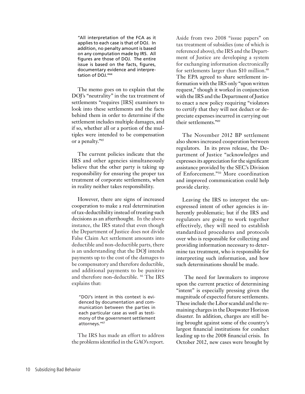"All interpretation of the FCA as it applies to each case is that of DOJ. In addition, no penalty amount is based on any computation made by IRS. All figures are those of DOJ. The entire issue is based on the facts, figures, documentary evidence and interpretation of DOJ."44

The memo goes on to explain that the DOJ's "neutrality" in the tax treatment of settlements "requires [IRS] examiners to look into these settlements and the facts behind them in order to determine if the settlement includes multiple damages, and if so, whether all or a portion of the multiples were intended to be compensation or a penalty."45

The current policies indicate that the IRS and other agencies simultaneously believe that the other party is taking up responsibility for ensuring the proper tax treatment of corporate settlements, when in reality neither takes responsibility.

However, there are signs of increased cooperation to make a real determination of tax-deductibility instead of treating such decisions as an afterthought. In the above instance, the IRS stated that even though the Department of Justice does not divide False Claim Act settlement amounts into deductible and non-deductible parts, there is an understanding that the DOJ intends payments up to the cost of the damages to be compensatory and therefore deductible, and additional payments to be punitive and therefore non-deductible. 46 The IRS explains that:

"DOJ's intent in this context is evidenced by documentation and communication between the parties in each particular case as well as testimony of the government settlement attorneys."47

The IRS has made an effort to address the problems identified in the GAO's report. Aside from two 2008 "issue papers" on tax treatment of subsidies (one of which is referenced above), the IRS and the Department of Justice are developing a system for exchanging information electronically for settlements larger than \$10 million.<sup>48</sup> The EPA agreed to share settlement information with the IRS only "upon written request," though it worked in conjunction with the IRS and the Department of Justice to enact a new policy requiring "violators to certify that they will not deduct or depreciate expenses incurred in carrying out their settlements."49

The November 2012 BP settlement also shows increased cooperation between regulators. In its press release, the Department of Justice "acknowledges and expresses its appreciation for the significant assistance provided by the SEC's Division of Enforcement."50 More coordination and improved communication could help provide clarity.

Leaving the IRS to interpret the unexpressed intent of other agencies is inherently problematic; but if the IRS and regulators are going to work together effectively, they will need to establish standardized procedures and protocols over who is responsible for collecting and providing information necessary to determine tax treatment, who is responsible for interpreting such information, and how such determinations should be made.

 The need for lawmakers to improve upon the current practice of determining "intent" is especially pressing given the magnitude of expected future settlements. These include the Libor scandal and the remaining charges in the Deepwater Horizon disaster. In addition, charges are still being brought against some of the country's largest financial institutions for conduct leading up to the 2008 financial crisis. In October 2012, new cases were brought by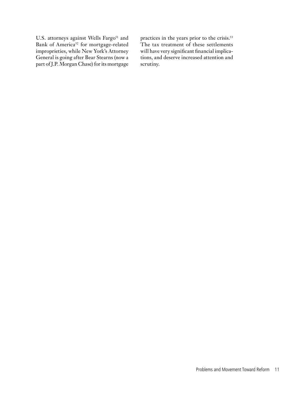U.S. attorneys against Wells Fargo<sup>51</sup> and Bank of America<sup>52</sup> for mortgage-related improprieties, while New York's Attorney General is going after Bear Stearns (now a part of J.P. Morgan Chase) for its mortgage

practices in the years prior to the crisis.<sup>53</sup> The tax treatment of these settlements will have very significant financial implications, and deserve increased attention and scrutiny.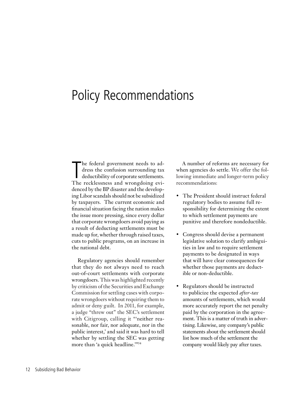### Policy Recommendations

The federal government needs to address the confusion surrounding tax deductibility of corporate settlements.<br>The recklessness and wrongdoing evihe federal government needs to address the confusion surrounding tax deductibility of corporate settlements. denced by the BP disaster and the developing Libor scandals should not be subsidized by taxpayers. The current economic and financial situation facing the nation makes the issue more pressing, since every dollar that corporate wrongdoers avoid paying as a result of deducting settlements must be made up for, whether through raised taxes, cuts to public programs, on an increase in the national debt.

Regulatory agencies should remember that they do not always need to reach out-of-court settlements with corporate wrongdoers. This was highlighted recently by criticism of the Securities and Exchange Commission for settling cases with corporate wrongdoers without requiring them to admit or deny guilt. In 2011, for example, a judge "threw out" the SEC's settlement with Citigroup, calling it "neither reasonable, nor fair, nor adequate, nor in the public interest,' and said it was hard to tell whether by settling the SEC was getting more than 'a quick headline."<sup>54</sup>

A number of reforms are necessary for when agencies do settle. We offer the following immediate and longer-term policy recommendations:

- The President should instruct federal regulatory bodies to assume full responsibility for determining the extent to which settlement payments are punitive and therefore nondeductible.
- Congress should devise a permanent legislative solution to clarify ambiguities in law and to require settlement payments to be designated in ways that will have clear consequences for whether those payments are deductible or non-deductible.
- Regulators should be instructed to publicize the expected *after-tax* amounts of settlements, which would more accurately report the net penalty paid by the corporation in the agreement. This is a matter of truth in advertising. Likewise, any company's public statements about the settlement should list how much of the settlement the company would likely pay after taxes.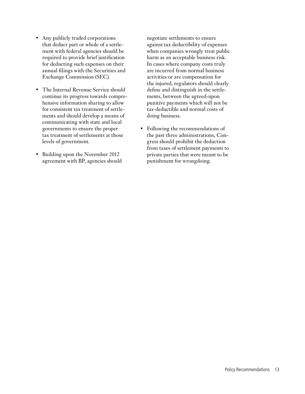- • Any publicly traded corporations that deduct part or whole of a settlement with federal agencies should be required to provide brief justification for deducting such expenses on their annual filings with the Securities and Exchange Commission (SEC).
- The Internal Revenue Service should continue its progress towards comprehensive information sharing to allow for consistent tax treatment of settlements and should develop a means of communicating with state and local governments to ensure the proper tax treatment of settlements at those levels of government.
- Building upon the November 2012 agreement with BP, agencies should

negotiate settlements to ensure against tax deductibility of expenses when companies wrongly treat public harm as an acceptable business risk. In cases where company costs truly are incurred from normal business activities or are compensation for the injured, regulators should clearly define and distinguish in the settlements, between the agreed-upon punitive payments which will not be tax-deductible and normal costs of doing business.

• Following the recommendations of the past three administrations, Congress should prohibit the deduction from taxes of settlement payments to private parties that were meant to be punishment for wrongdoing.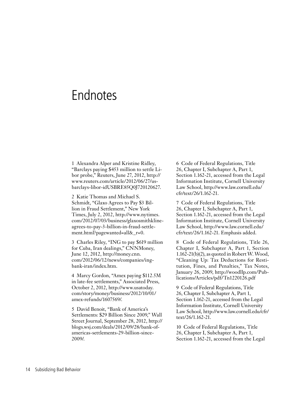### Endnotes

1 Alexandra Alper and Kristine Ridley, "Barclays paying \$453 million to settle Libor probe," Reuters, June 27, 2012, http:// www.reuters.com/article/2012/06/27/usbarclays-libor-idUSBRE85Q0J720120627.

2 Katie Thomas and Michael S. Schmidt, "Glaxo Agrees to Pay \$3 Billion in Fraud Settlement," New York Times, July 2, 2012, http://www.nytimes. com/2012/07/03/business/glaxosmithklineagrees-to-pay-3-billion-in-fraud-settlement.html?pagewanted=all&\_r=0.

3 Charles Riley, "ING to pay \$619 million for Cuba, Iran dealings," CNNMoney, June 12, 2012, http://money.cnn. com/2012/06/12/news/companies/ingbank-iran/index.htm.

4 Marcy Gordon, "Amex paying \$112.5M in late-fee settlements," Associated Press, October 2, 2012, http://www.usatoday. com/story/money/business/2012/10/01/ amex-refunds/1607569/.

5 David Benoit, "Bank of America's Settlements: \$29 Billion Since 2009," Wall Street Journal, September 28, 2012, http:// blogs.wsj.com/deals/2012/09/28/bank-ofamericas-settlements-29-billion-since-2009/.

6 Code of Federal Regulations, Title 26, Chapter I, Subchapter A, Part 1, Section 1.162-21, accessed from the Legal Information Institute, Cornell University Law School, http://www.law.cornell.edu/ cfr/text/26/1.162-21.

7 Code of Federal Regulations, Title 26, Chapter I, Subchapter A, Part 1, Section 1.162-21, accessed from the Legal Information Institute, Cornell University Law School, http://www.law.cornell.edu/ cfr/text/26/1.162-21. Emphasis added.

8 Code of Federal Regulations, Title 26, Chapter I, Subchapter A, Part 1, Section 1.162-21(b)(2), as quoted in Robert W. Wood, "Cleaning Up: Tax Deductions for Restitution, Fines, and Penalties," Tax Notes, January 26, 2009, http://woodllp.com/Publications/Articles/pdf/Tn1220126.pdf

9 Code of Federal Regulations, Title 26, Chapter I, Subchapter A, Part 1, Section 1.162-21, accessed from the Legal Information Institute, Cornell University Law School, http://www.law.cornell.edu/cfr/ text/26/1.162-21.

10 Code of Federal Regulations, Title 26, Chapter I, Subchapter A, Part 1, Section 1.162-21, accessed from the Legal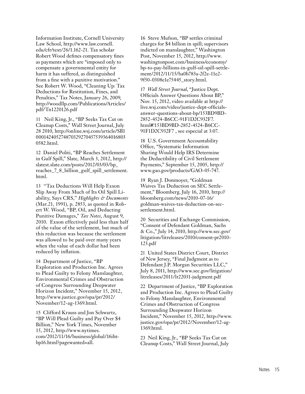Information Institute, Cornell University Law School, http://www.law.cornell. edu/cfr/text/26/1.162-21. Tax scholar Robert Wood defines compensatory fines as payments which are "imposed only to compensate a governmental entity for harm it has suffered, as distinguished from a fine with a punitive motivation." See Robert W. Wood, "Cleaning Up: Tax Deductions for Restitution, Fines, and Penalties," Tax Notes, January 26, 2009, http://woodllp.com/Publications/Articles/ pdf/Tn1220126.pdf

11 Neil King, Jr., "BP Seeks Tax Cut on Cleanup Costs," Wall Street Journal, July 28 2010, http://online.wsj.com/article/SB1 000142405274870329270457539364016803 0582.html.

12 Daniel Politi, "BP Reaches Settlement in Gulf Spill," Slate, March 3, 2012, http:// slatest.slate.com/posts/2012/03/03/bp\_ reaches\_7\_8\_billion\_gulf\_spill\_settlement. html.

13 ''Tax Deductions Will Help Exxon Slip Away From Much of Its Oil Spill Liability, Says CRS,'' *Highlights & Documents*  (Mar.21, 1991), p. 2853, as quoted in Robert W. Wood, "BP, Oil, and Deducting Punitive Damages," *Tax Notes*, August 9, 2010. Exxon effectively paid less than half of the value of the settlement, but much of this reduction was because the settlement was allowed to be paid over many years when the value of each dollar had been reduced by inflation.

14 Department of Justice, "BP Exploration and Production Inc. Agrees to Plead Guilty to Felony Manslaughter, Environmental Crimes and Obstruction of Congress Surrounding Deepwater Horizon Incident," November 15, 2012, http://www.justice.gov/opa/pr/2012/ November/12-ag-1369.html.

15 Clifford Krauss and Jon Schwartz, "BP Will Plead Guilty and Pay Over \$4 Billion," New York Times, November 15, 2012, http://www.nytimes. com/2012/11/16/business/global/16ihtbp16.html?pagewanted=all.

16 Steve Mufson, "BP settles criminal charges for \$4 billion in spill; supervisors indicted on manslaughter," Washington Post, November 15, 2012, http://www. washingtonpost.com/business/economy/ bp-to-pay-billions-in-gulf-oil-spill-settlement/2012/11/15/ba0b783a-2f2e-11e2- 9f50-0308e1e75445\_story.html.

17 *Wall Street Journal*, "Justice Dept. Officials Answer Questions About BP," Nov. 15, 2012, video available at http:// live.wsj.com/video/justice-dept-officialsanswer-questions-about-bp/153BD9BD-2852-4524-B6CC-91F1D2C932F7. html#!153BD9BD-2852-4524-B6CC-91F1D2C932F7 , see especial at 3:07.

18 U.S. Government Accountability Office, "Systematic Information Sharing Would Help IRS Determine the Deductibility of Civil Settlement Payments," September 15, 2005, http:// www.gao.gov/products/GAO-05-747.

19 Ryan J. Donmoyer, "Goldman Waives Tax Deduction on SEC Settlement," Bloomberg, July 16, 2010, http:// bloomberg.com/news/2010-07-16/ goldman-waives-tax-deduction-on-secsettlement.html.

20 Securities and Exchange Commission, "Consent of Defendant Goldman, Sachs & Co.," July 14, 2010, http://www.sec.gov/ litigation/litreleases/2010/consent-pr2010- 123.pdf

21 United States District Court, District of New Jersey, "Final Judgment as to Defendant J.P. Morgan Securities LLC," July 8, 2011, http://www.sec.gov/litigation/ litreleases/2011/lr22031-judgment.pdf

22 Department of Justice, "BP Exploration and Production Inc. Agrees to Plead Guilty to Felony Manslaughter, Environmental Crimes and Obstruction of Congress Surrounding Deepwater Horizon Incident," November 15, 2012, http://www. justice.gov/opa/pr/2012/November/12-ag-1369.html.

23 Neil King, Jr., "BP Seeks Tax Cut on Cleanup Costs," Wall Street Journal, July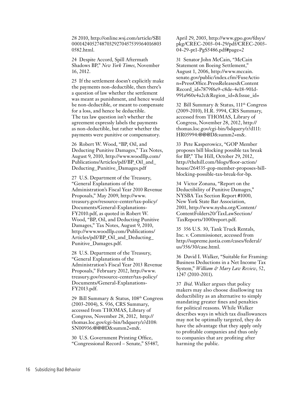28 2010, http://online.wsj.com/article/SB1 000142405274870329270457539364016803 0582.html.

24 Despite Accord, Spill Aftermath Shadows BP," *New York Times*, November 16, 2012.

25 If the settlement doesn't explicitly make the payments non-deductible, then there's a question of law whether the settlement was meant as punishment, and hence would be non-deductible, or meant to compensate for a loss, and hence be deductible. The tax law question isn't whether the agreement expressly labels the payments as non-deductible, but rather whether the payments were punitive or compensatory.

26 Robert W. Wood, "BP, Oil, and Deducting Punitive Damages," Tax Notes, August 9, 2010, http://www.woodllp.com/ Publications/Articles/pdf/BP\_Oil\_and\_ Deducting\_Punitive\_Damages.pdf

27 U.S. Department of the Treasury, "General Explanations of the Administration's Fiscal Year 2010 Revenue Proposals," May 2009, http://www. treasury.gov/resource-center/tax-policy/ Documents/General-Explanations-FY2010.pdf, as quoted in Robert W. Wood, "BP, Oil, and Deducting Punitive Damages," Tax Notes, August 9, 2010, http://www.woodllp.com/Publications/ Articles/pdf/BP\_Oil\_and\_Deducting\_ Punitive\_Damages.pdf.

28 U.S. Department of the Treasury, "General Explanations of the Administration's Fiscal Year 2013 Revenue Proposals," February 2012, http://www. treasury.gov/resource-center/tax-policy/ Documents/General-Explanations-FY2013.pdf.

29 Bill Summary & Status, 108th Congress (2003-2004), S. 936, CRS Summary, accessed from THOMAS, Library of Congress, November 28, 2012, http:// thomas.loc.gov/cgi-bin/bdquery/z?d108: SN00936:@@@D&summ2=m&.

30 U.S. Government Printing Office, "Congressional Record – Senate," S5487, April 29, 2003, http://www.gpo.gov/fdsys/ pkg/CREC-2003-04-29/pdf/CREC-2003- 04-29-pt1-PgS5486.pdf#page=2

31 Senator John McCain, "McCain Statement on Boeing Settlement," August 1, 2006, http://www.mccain. senate.gov/public/index.cfm?FuseActio n=PressOffice.PressReleases&Content Record\_id=7879f6e9-c8de-4e18-901d-991a960e4a2c&Region\_id=&Issue\_id=

32 Bill Summary & Status, 111<sup>th</sup> Congress (2009-2010), H.R. 5994, CRS Summary, accessed from THOMAS, Library of Congress, November 28, 2012, http:// thomas.loc.gov/cgi-bin/bdquery/z?d111: HR05994:@@@D&summ2=m&.

33 Pete Kasperowicz, "GOP Member proposes bill blocking possible tax break for BP," The Hill, October 29, 2012, http://thehill.com/blogs/floor-action/ house/264535-gop-member-proposes-billblocking-possible-tax-break-for-bp.

34 Victor Zonana, "Report on the Deductibility of Punitive Damages," NYSBA Tax Section Report #1000, New York State Bar Association, 2001, http://www.nysba.org/Content/ ContentFolders20/TaxLawSection/ TaxReports/1000report.pdf.

35 356 U.S. 30, Tank Truck Rentals, Inc. v. Commissioner, accessed from http://supreme.justia.com/cases/federal/ us/356/30/case.html.

36 David I. Walker, "Suitable for Framing: Business Deductions in a Net Income Tax System," *William & Mary Law Review*, 52, 1247 (2010-2011).

37 *Ibid*. Walker argues that policy makers may also choose disallowing tax deductibility as an alternative to simply mandating greater fines and penalties for political reasons. While Walker describes ways in which tax disallowances may not be optimally targeted, they do have the advantage that they apply only to profitable companies and thus only to companies that are profiting after harming the public.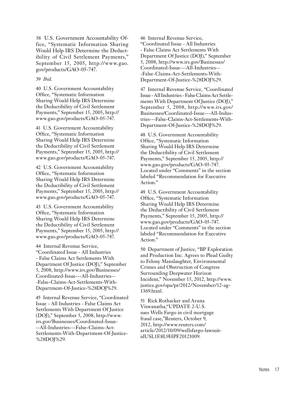38 U.S. Government Accountability Office, "Systematic Information Sharing Would Help IRS Determine the Deductibility of Civil Settlement Payments," September 15, 2005, http://www.gao. gov/products/GAO-05-747.

#### 39 *Ibid*.

40 U.S. Government Accountability Office, "Systematic Information Sharing Would Help IRS Determine the Deductibility of Civil Settlement Payments," September 15, 2005, http:// www.gao.gov/products/GAO-05-747.

41 U.S. Government Accountability Office, "Systematic Information Sharing Would Help IRS Determine the Deductibility of Civil Settlement Payments," September 15, 2005, http:// www.gao.gov/products/GAO-05-747.

42 U.S. Government Accountability Office, "Systematic Information Sharing Would Help IRS Determine the Deductibility of Civil Settlement Payments," September 15, 2005, http:// www.gao.gov/products/GAO-05-747.

43 U.S. Government Accountability Office, "Systematic Information Sharing Would Help IRS Determine the Deductibility of Civil Settlement Payments," September 15, 2005, http:// www.gao.gov/products/GAO-05-747.

44 Internal Revenue Service, "Coordinated Issue - All Industries - False Claims Act Settlements With Department Of Justice (DOJ)," September 5, 2008, http://www.irs.gov/Businesses/ Coordinated-Issue---All-Industries-- -False-Claims-Act-Settlements-With-Department-Of-Justice-%28DOJ%29.

45 Internal Revenue Service, "Coordinated Issue - All Industries - False Claims Act Settlements With Department Of Justice (DOJ)," September 5, 2008, http://www. irs.gov/Businesses/Coordinated-Issue- --All-Industries---False-Claims-Act-Settlements-With-Department-Of-Justice- %28DOJ%29.

46 Internal Revenue Service, "Coordinated Issue - All Industries - False Claims Act Settlements With Department Of Justice (DOJ)," September 5, 2008, http://www.irs.gov/Businesses/ Coordinated-Issue---All-Industries-- -False-Claims-Act-Settlements-With-Department-Of-Justice-%28DOJ%29.

47 Internal Revenue Service, "Coordinated Issue - All Industries - False Claims Act Settlements With Department Of Justice (DOJ)," September 5, 2008, http://www.irs.gov/ Businesses/Coordinated-Issue---All-Industries---False-Claims-Act-Settlements-With-Department-Of-Justice-%28DOJ%29.

48 U.S. Government Accountability Office, "Systematic Information Sharing Would Help IRS Determine the Deductibility of Civil Settlement Payments," September 15, 2005, http:// www.gao.gov/products/GAO-05-747. Located under "Comments" in the section labeled "Recommendation for Executive Action."

49 U.S. Government Accountability Office, "Systematic Information Sharing Would Help IRS Determine the Deductibility of Civil Settlement Payments," September 15, 2005, http:// www.gao.gov/products/GAO-05-747. Located under "Comments" in the section labeled "Recommendation for Executive Action."

50 Department of Justice, "BP Exploration and Production Inc. Agrees to Plead Guilty to Felony Manslaughter, Environmental Crimes and Obstruction of Congress Surrounding Deepwater Horizon Incident," November 15, 2012, http://www. justice.gov/opa/pr/2012/November/12-ag-1369.html.

51 Rick Rothacker and Aruna Viswanatha,"UPDATE 2-U.S. sues Wells Fargo in civil mortgage fraud case,"Reuters, October 9, 2012, http://www.reuters.com/ article/2012/10/09/wellsfargo-lawsuitidUSL1E8L9HPF20121009.